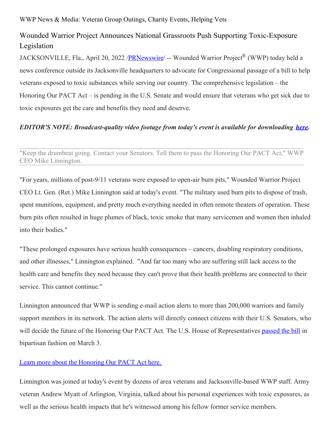WWP News & Media: Veteran Group Outings, Charity Events, Helping Vets

## Wounded Warrior Project Announces National Grassroots Push Supporting Toxic-Exposure Legislation

JACKSONVILLE, Fla., April 20, 2022 [/PRNewswire](http://www.prnewswire.com/)/ -- Wounded Warrior Project® (WWP) today held a news conference outside its Jacksonville headquarters to advocate for Congressional passage of a bill to help veterans exposed to toxic substances while serving our country. The comprehensive legislation – the Honoring Our PACT Act – is pending in the U.S. Senate and would ensure that veterans who get sick due to toxic exposures get the care and benefits they need and deserve.

## *EDITOR'S NOTE: Broadcast-quality video footage from today's event is available for downloading [here](https://c212.net/c/link/?t=0&l=en&o=3510894-1&h=991278279&u=https%3A%2F%2Fwetransfer.com%2Fdownloads%2F7ceedf49b6878fe8fdd8a5a163aaf1eb20220420164329%2Fa4c359a1576a97d981dc7a127570f12320220420164353%2F74cc07&a=here).*

"Keep the drumbeat going. Contact your Senators. Tell them to pass the Honoring Our PACT Act," WWP CEO Mike Linnington.

"For years, millions of post-9/11 veterans were exposed to open-air burn pits," Wounded Warrior Project CEO Lt. Gen. (Ret.) Mike Linnington said at today's event. "The military used burn pits to dispose of trash, spent munitions, equipment, and pretty much everything needed in often remote theaters of operation. These burn pits often resulted in huge plumes of black, toxic smoke that many servicemen and women then inhaled into their bodies."

"These prolonged exposures have serious health consequences – cancers, disabling respiratory conditions, and other illnesses," Linnington explained. "And far too many who are suffering still lack access to the health care and benefits they need because they can't prove that their health problems are connected to their service. This cannot continue."

Linnington announced that WWP is sending e-mail action alerts to more than 200,000 warriors and family support members in its network. The action alerts will directly connect citizens with their U.S. Senators, who will decide the future of the Honoring Our PACT Act. The U.S. House of Representatives [passed](https://c212.net/c/link/?t=0&l=en&o=3510894-1&h=140975760&u=https%3A%2F%2Fnewsroom.woundedwarriorproject.org%2F2022-03-03-Wounded-Warrior-Project-Applauds-U-S-House-Passage-of-Landmark-Toxic-Exposure-Legislation&a=passed+the+bill) the bill in bipartisan fashion on March 3.

## Learn more about the [Honoring](https://c212.net/c/link/?t=0&l=en&o=3510894-1&h=2525202171&u=https%3A%2F%2Fwww.woundedwarriorproject.org%2Fmedia%2Ff3jnergc%2F03-wwp-brochure-pages_01.pdf&a=Learn+more+about+the+Honoring+Our+PACT+Act+here.) Our PACT Act here.

Linnington was joined at today's event by dozens of area veterans and Jacksonville-based WWP staff. Army veteran Andrew Myatt of Arlington, Virginia, talked about his personal experiences with toxic exposures, as well as the serious health impacts that he's witnessed among his fellow former service members.